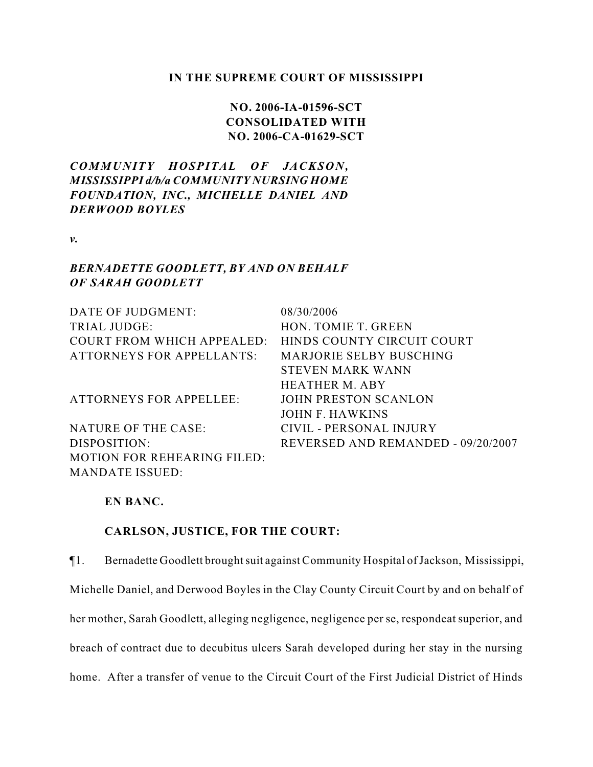### **IN THE SUPREME COURT OF MISSISSIPPI**

# **NO. 2006-IA-01596-SCT CONSOLIDATED WITH NO. 2006-CA-01629-SCT**

## *COMMUNITY HOSPITAL OF JAC KSON, MISSISSIPPI d/b/a COMMUNITY NURSING HOME FOUNDATION, INC., MICHELLE DANIEL AND DERWOOD BOYLES*

*v.*

## *BERNADETTE GOODLETT, BY AND ON BEHALF OF SARAH GOODLETT*

| DATE OF JUDGMENT:                  | 08/30/2006                         |
|------------------------------------|------------------------------------|
| TRIAL JUDGE:                       | <b>HON. TOMIE T. GREEN</b>         |
| <b>COURT FROM WHICH APPEALED:</b>  | HINDS COUNTY CIRCUIT COURT         |
| <b>ATTORNEYS FOR APPELLANTS:</b>   | <b>MARJORIE SELBY BUSCHING</b>     |
|                                    | STEVEN MARK WANN                   |
|                                    | HEATHER M. ABY                     |
| <b>ATTORNEYS FOR APPELLEE:</b>     | JOHN PRESTON SCANLON               |
|                                    | JOHN F. HAWKINS                    |
| NATURE OF THE CASE:                | CIVIL - PERSONAL INJURY            |
| DISPOSITION:                       | REVERSED AND REMANDED - 09/20/2007 |
| <b>MOTION FOR REHEARING FILED:</b> |                                    |
| <b>MANDATE ISSUED:</b>             |                                    |

## **EN BANC.**

## **CARLSON, JUSTICE, FOR THE COURT:**

¶1. Bernadette Goodlett brought suit against Community Hospital of Jackson, Mississippi, Michelle Daniel, and Derwood Boyles in the Clay County Circuit Court by and on behalf of her mother, Sarah Goodlett, alleging negligence, negligence per se, respondeat superior, and breach of contract due to decubitus ulcers Sarah developed during her stay in the nursing home. After a transfer of venue to the Circuit Court of the First Judicial District of Hinds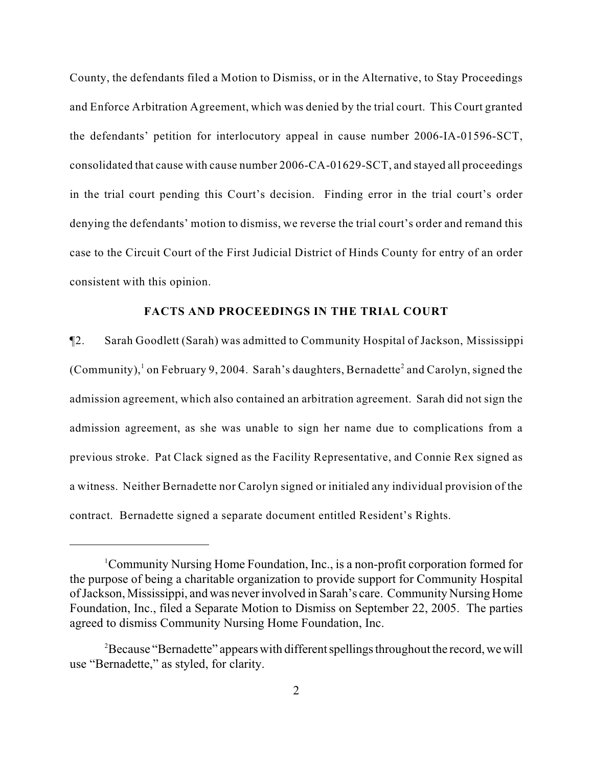County, the defendants filed a Motion to Dismiss, or in the Alternative, to Stay Proceedings and Enforce Arbitration Agreement, which was denied by the trial court. This Court granted the defendants' petition for interlocutory appeal in cause number 2006-IA-01596-SCT, consolidated that cause with cause number 2006-CA-01629-SCT, and stayed all proceedings in the trial court pending this Court's decision. Finding error in the trial court's order denying the defendants' motion to dismiss, we reverse the trial court's order and remand this case to the Circuit Court of the First Judicial District of Hinds County for entry of an order consistent with this opinion.

## **FACTS AND PROCEEDINGS IN THE TRIAL COURT**

¶2. Sarah Goodlett (Sarah) was admitted to Community Hospital of Jackson, Mississippi (Community), on February 9, 2004. Sarah's daughters, Bernadette<sup>2</sup> and Carolyn, signed the admission agreement, which also contained an arbitration agreement. Sarah did not sign the admission agreement, as she was unable to sign her name due to complications from a previous stroke. Pat Clack signed as the Facility Representative, and Connie Rex signed as a witness. Neither Bernadette nor Carolyn signed or initialed any individual provision of the contract. Bernadette signed a separate document entitled Resident's Rights.

<sup>&</sup>lt;sup>1</sup>Community Nursing Home Foundation, Inc., is a non-profit corporation formed for the purpose of being a charitable organization to provide support for Community Hospital of Jackson, Mississippi, and was never involved in Sarah's care. Community Nursing Home Foundation, Inc., filed a Separate Motion to Dismiss on September 22, 2005. The parties agreed to dismiss Community Nursing Home Foundation, Inc.

<sup>&</sup>lt;sup>2</sup> Because "Bernadette" appears with different spellings throughout the record, we will use "Bernadette," as styled, for clarity.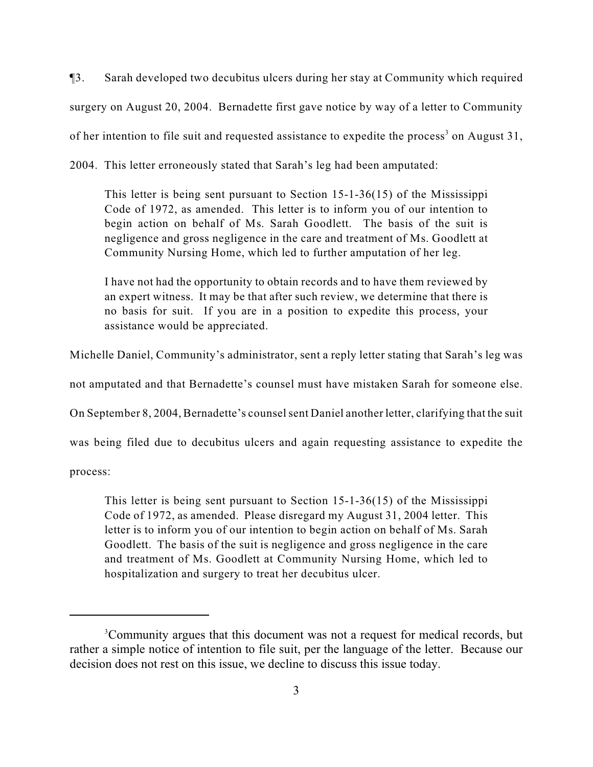¶3. Sarah developed two decubitus ulcers during her stay at Community which required surgery on August 20, 2004. Bernadette first gave notice by way of a letter to Community of her intention to file suit and requested assistance to expedite the process<sup>3</sup> on August 31, 2004. This letter erroneously stated that Sarah's leg had been amputated:

This letter is being sent pursuant to Section 15-1-36(15) of the Mississippi Code of 1972, as amended. This letter is to inform you of our intention to begin action on behalf of Ms. Sarah Goodlett. The basis of the suit is negligence and gross negligence in the care and treatment of Ms. Goodlett at

Community Nursing Home, which led to further amputation of her leg.

I have not had the opportunity to obtain records and to have them reviewed by an expert witness. It may be that after such review, we determine that there is no basis for suit. If you are in a position to expedite this process, your assistance would be appreciated.

Michelle Daniel, Community's administrator, sent a reply letter stating that Sarah's leg was

not amputated and that Bernadette's counsel must have mistaken Sarah for someone else.

On September 8, 2004, Bernadette's counsel sent Daniel another letter, clarifying that the suit

was being filed due to decubitus ulcers and again requesting assistance to expedite the

process:

This letter is being sent pursuant to Section 15-1-36(15) of the Mississippi Code of 1972, as amended. Please disregard my August 31, 2004 letter. This letter is to inform you of our intention to begin action on behalf of Ms. Sarah Goodlett. The basis of the suit is negligence and gross negligence in the care and treatment of Ms. Goodlett at Community Nursing Home, which led to hospitalization and surgery to treat her decubitus ulcer.

<sup>&</sup>lt;sup>3</sup>Community argues that this document was not a request for medical records, but rather a simple notice of intention to file suit, per the language of the letter. Because our decision does not rest on this issue, we decline to discuss this issue today.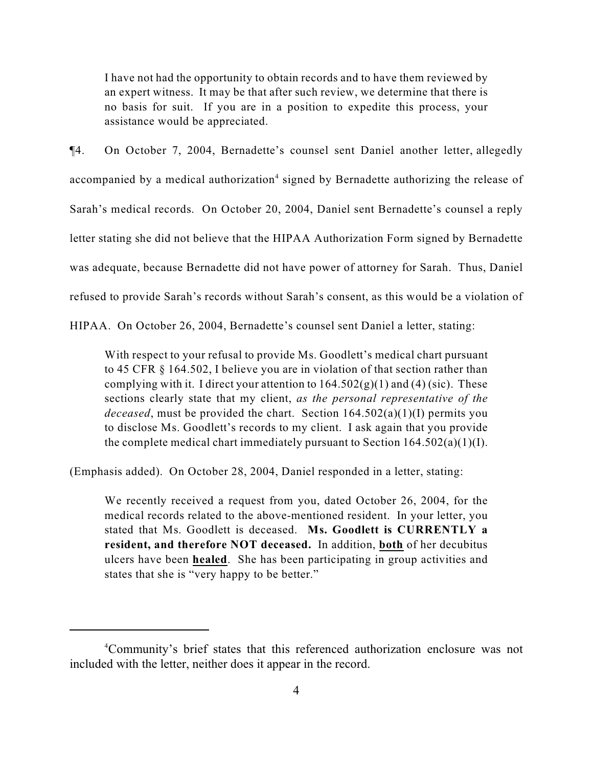I have not had the opportunity to obtain records and to have them reviewed by an expert witness. It may be that after such review, we determine that there is no basis for suit. If you are in a position to expedite this process, your assistance would be appreciated.

¶4. On October 7, 2004, Bernadette's counsel sent Daniel another letter, allegedly accompanied by a medical authorization<sup>4</sup> signed by Bernadette authorizing the release of Sarah's medical records. On October 20, 2004, Daniel sent Bernadette's counsel a reply letter stating she did not believe that the HIPAA Authorization Form signed by Bernadette was adequate, because Bernadette did not have power of attorney for Sarah. Thus, Daniel refused to provide Sarah's records without Sarah's consent, as this would be a violation of

HIPAA. On October 26, 2004, Bernadette's counsel sent Daniel a letter, stating:

With respect to your refusal to provide Ms. Goodlett's medical chart pursuant to 45 CFR § 164.502, I believe you are in violation of that section rather than complying with it. I direct your attention to  $164.502(g)(1)$  and (4) (sic). These sections clearly state that my client, *as the personal representative of the deceased*, must be provided the chart. Section 164.502(a)(1)(I) permits you to disclose Ms. Goodlett's records to my client. I ask again that you provide the complete medical chart immediately pursuant to Section  $164.502(a)(1)(I)$ .

(Emphasis added). On October 28, 2004, Daniel responded in a letter, stating:

We recently received a request from you, dated October 26, 2004, for the medical records related to the above-mentioned resident. In your letter, you stated that Ms. Goodlett is deceased. **Ms. Goodlett is CURRENTLY a resident, and therefore NOT deceased.** In addition, **both** of her decubitus ulcers have been **healed**. She has been participating in group activities and states that she is "very happy to be better."

Community's brief states that this referenced authorization enclosure was not <sup>4</sup> included with the letter, neither does it appear in the record.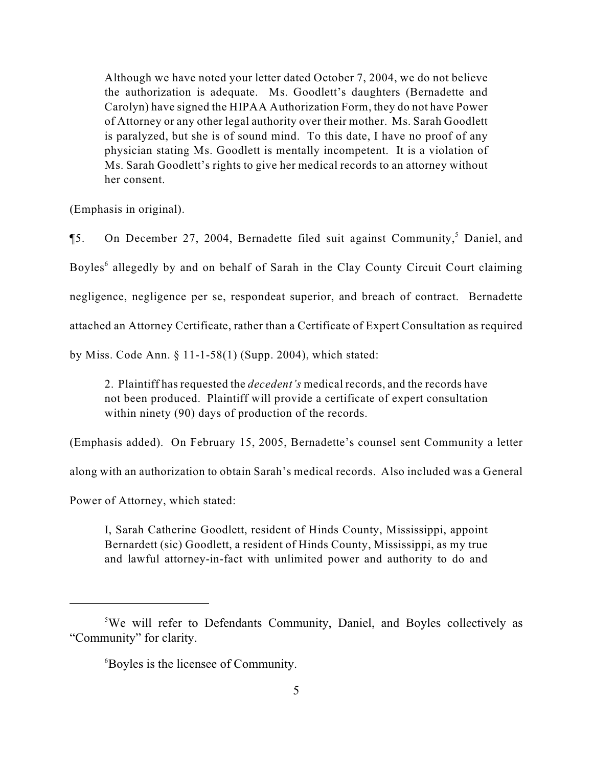Although we have noted your letter dated October 7, 2004, we do not believe the authorization is adequate. Ms. Goodlett's daughters (Bernadette and Carolyn) have signed the HIPAA Authorization Form, they do not have Power of Attorney or any other legal authority over their mother. Ms. Sarah Goodlett is paralyzed, but she is of sound mind. To this date, I have no proof of any physician stating Ms. Goodlett is mentally incompetent. It is a violation of Ms. Sarah Goodlett's rights to give her medical records to an attorney without her consent.

(Emphasis in original).

**[5.** On December 27, 2004, Bernadette filed suit against Community,<sup>5</sup> Daniel, and Boyles<sup>6</sup> allegedly by and on behalf of Sarah in the Clay County Circuit Court claiming negligence, negligence per se, respondeat superior, and breach of contract. Bernadette attached an Attorney Certificate, rather than a Certificate of Expert Consultation as required by Miss. Code Ann. § 11-1-58(1) (Supp. 2004), which stated:

2. Plaintiff has requested the *decedent's* medical records, and the records have not been produced. Plaintiff will provide a certificate of expert consultation within ninety (90) days of production of the records.

(Emphasis added). On February 15, 2005, Bernadette's counsel sent Community a letter

along with an authorization to obtain Sarah's medical records. Also included was a General

Power of Attorney, which stated:

I, Sarah Catherine Goodlett, resident of Hinds County, Mississippi, appoint Bernardett (sic) Goodlett, a resident of Hinds County, Mississippi, as my true and lawful attorney-in-fact with unlimited power and authority to do and

<sup>&</sup>lt;sup>5</sup>We will refer to Defendants Community, Daniel, and Boyles collectively as "Community" for clarity.

Boyles is the licensee of Community. <sup>6</sup>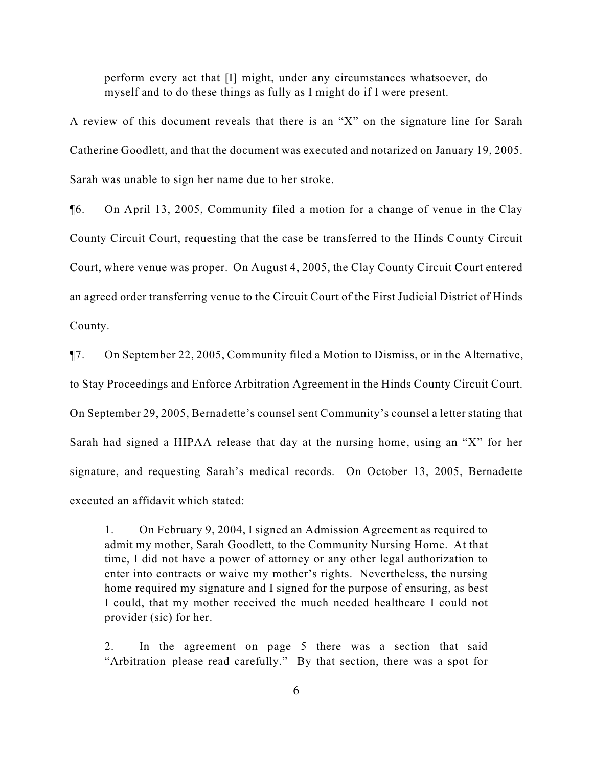perform every act that [I] might, under any circumstances whatsoever, do myself and to do these things as fully as I might do if I were present.

A review of this document reveals that there is an "X" on the signature line for Sarah Catherine Goodlett, and that the document was executed and notarized on January 19, 2005. Sarah was unable to sign her name due to her stroke.

¶6. On April 13, 2005, Community filed a motion for a change of venue in the Clay County Circuit Court, requesting that the case be transferred to the Hinds County Circuit Court, where venue was proper. On August 4, 2005, the Clay County Circuit Court entered an agreed order transferring venue to the Circuit Court of the First Judicial District of Hinds County.

¶7. On September 22, 2005, Community filed a Motion to Dismiss, or in the Alternative, to Stay Proceedings and Enforce Arbitration Agreement in the Hinds County Circuit Court. On September 29, 2005, Bernadette's counsel sent Community's counsel a letter stating that Sarah had signed a HIPAA release that day at the nursing home, using an "X" for her signature, and requesting Sarah's medical records. On October 13, 2005, Bernadette executed an affidavit which stated:

1. On February 9, 2004, I signed an Admission Agreement as required to admit my mother, Sarah Goodlett, to the Community Nursing Home. At that time, I did not have a power of attorney or any other legal authorization to enter into contracts or waive my mother's rights. Nevertheless, the nursing home required my signature and I signed for the purpose of ensuring, as best I could, that my mother received the much needed healthcare I could not provider (sic) for her.

2. In the agreement on page 5 there was a section that said "Arbitration–please read carefully." By that section, there was a spot for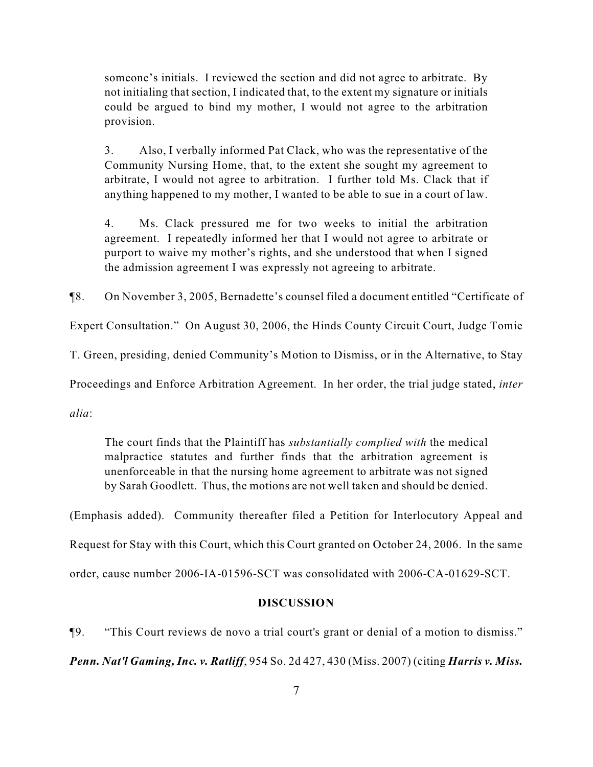someone's initials. I reviewed the section and did not agree to arbitrate. By not initialing that section, I indicated that, to the extent my signature or initials could be argued to bind my mother, I would not agree to the arbitration provision.

3. Also, I verbally informed Pat Clack, who was the representative of the Community Nursing Home, that, to the extent she sought my agreement to arbitrate, I would not agree to arbitration. I further told Ms. Clack that if anything happened to my mother, I wanted to be able to sue in a court of law.

4. Ms. Clack pressured me for two weeks to initial the arbitration agreement. I repeatedly informed her that I would not agree to arbitrate or purport to waive my mother's rights, and she understood that when I signed the admission agreement I was expressly not agreeing to arbitrate.

¶8. On November 3, 2005, Bernadette's counsel filed a document entitled "Certificate of

Expert Consultation." On August 30, 2006, the Hinds County Circuit Court, Judge Tomie

T. Green, presiding, denied Community's Motion to Dismiss, or in the Alternative, to Stay

Proceedings and Enforce Arbitration Agreement. In her order, the trial judge stated, *inter*

*alia*:

The court finds that the Plaintiff has *substantially complied with* the medical malpractice statutes and further finds that the arbitration agreement is unenforceable in that the nursing home agreement to arbitrate was not signed by Sarah Goodlett. Thus, the motions are not well taken and should be denied.

(Emphasis added). Community thereafter filed a Petition for Interlocutory Appeal and Request for Stay with this Court, which this Court granted on October 24, 2006. In the same order, cause number 2006-IA-01596-SCT was consolidated with 2006-CA-01629-SCT.

#### **DISCUSSION**

¶9. "This Court reviews de novo a trial court's grant or denial of a motion to dismiss."

*Penn. Nat'l Gaming, Inc. v. Ratliff*, 954 So. 2d 427, 430 (Miss. 2007) (citing *Harris v. Miss.*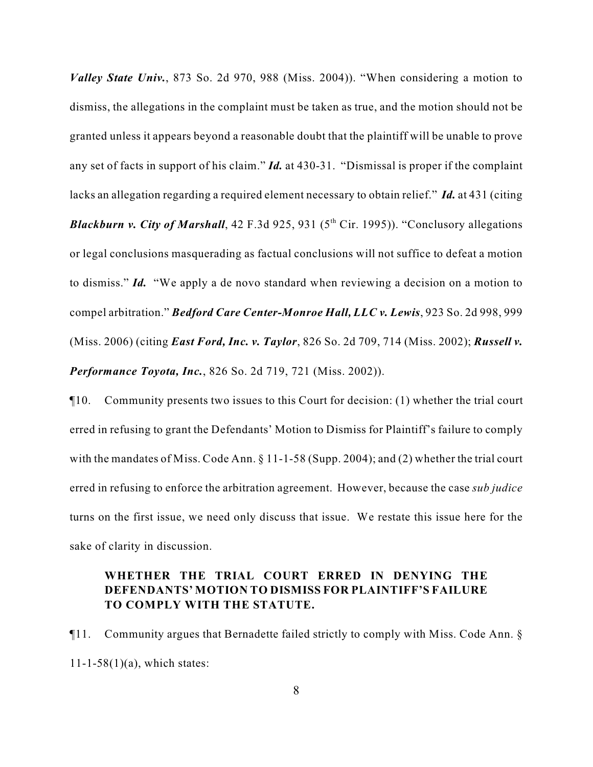*Valley State Univ.*, 873 So. 2d 970, 988 (Miss. 2004)). "When considering a motion to dismiss, the allegations in the complaint must be taken as true, and the motion should not be granted unless it appears beyond a reasonable doubt that the plaintiff will be unable to prove any set of facts in support of his claim." *Id.* at 430-31. "Dismissal is proper if the complaint lacks an allegation regarding a required element necessary to obtain relief." *Id.* at 431 (citing *Blackburn v. City of Marshall*, 42 F.3d 925, 931 ( $5<sup>th</sup> Cir.$  1995)). "Conclusory allegations or legal conclusions masquerading as factual conclusions will not suffice to defeat a motion to dismiss." *Id.* "We apply a de novo standard when reviewing a decision on a motion to compel arbitration." *Bedford Care Center-Monroe Hall, LLC v. Lewis*, 923 So. 2d 998, 999 (Miss. 2006) (citing *East Ford, Inc. v. Taylor*, 826 So. 2d 709, 714 (Miss. 2002); *Russell v. Performance Toyota, Inc.*, 826 So. 2d 719, 721 (Miss. 2002)).

¶10. Community presents two issues to this Court for decision: (1) whether the trial court erred in refusing to grant the Defendants' Motion to Dismiss for Plaintiff's failure to comply with the mandates of Miss. Code Ann. § 11-1-58 (Supp. 2004); and (2) whether the trial court erred in refusing to enforce the arbitration agreement. However, because the case *sub judice* turns on the first issue, we need only discuss that issue. We restate this issue here for the sake of clarity in discussion.

## **WHETHER THE TRIAL COURT ERRED IN DENYING THE DEFENDANTS' MOTION TO DISMISS FOR PLAINTIFF'S FAILURE TO COMPLY WITH THE STATUTE.**

¶11. Community argues that Bernadette failed strictly to comply with Miss. Code Ann. §  $11 - 1 - 58(1)(a)$ , which states: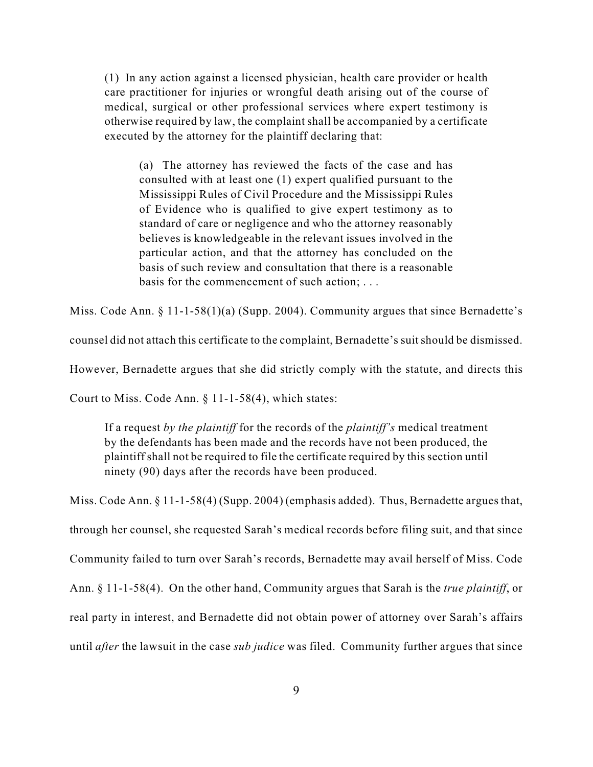(1) In any action against a licensed physician, health care provider or health care practitioner for injuries or wrongful death arising out of the course of medical, surgical or other professional services where expert testimony is otherwise required by law, the complaint shall be accompanied by a certificate executed by the attorney for the plaintiff declaring that:

(a) The attorney has reviewed the facts of the case and has consulted with at least one (1) expert qualified pursuant to the Mississippi Rules of Civil Procedure and the Mississippi Rules of Evidence who is qualified to give expert testimony as to standard of care or negligence and who the attorney reasonably believes is knowledgeable in the relevant issues involved in the particular action, and that the attorney has concluded on the basis of such review and consultation that there is a reasonable basis for the commencement of such action; . . .

Miss. Code Ann. § 11-1-58(1)(a) (Supp. 2004). Community argues that since Bernadette's

counsel did not attach this certificate to the complaint, Bernadette's suit should be dismissed.

However, Bernadette argues that she did strictly comply with the statute, and directs this

Court to Miss. Code Ann. § 11-1-58(4), which states:

If a request *by the plaintiff* for the records of the *plaintiff's* medical treatment by the defendants has been made and the records have not been produced, the plaintiff shall not be required to file the certificate required by this section until ninety (90) days after the records have been produced.

Miss. Code Ann. § 11-1-58(4) (Supp. 2004) (emphasis added). Thus, Bernadette argues that, through her counsel, she requested Sarah's medical records before filing suit, and that since Community failed to turn over Sarah's records, Bernadette may avail herself of Miss. Code

Ann. § 11-1-58(4). On the other hand, Community argues that Sarah is the *true plaintiff*, or

real party in interest, and Bernadette did not obtain power of attorney over Sarah's affairs

until *after* the lawsuit in the case *sub judice* was filed. Community further argues that since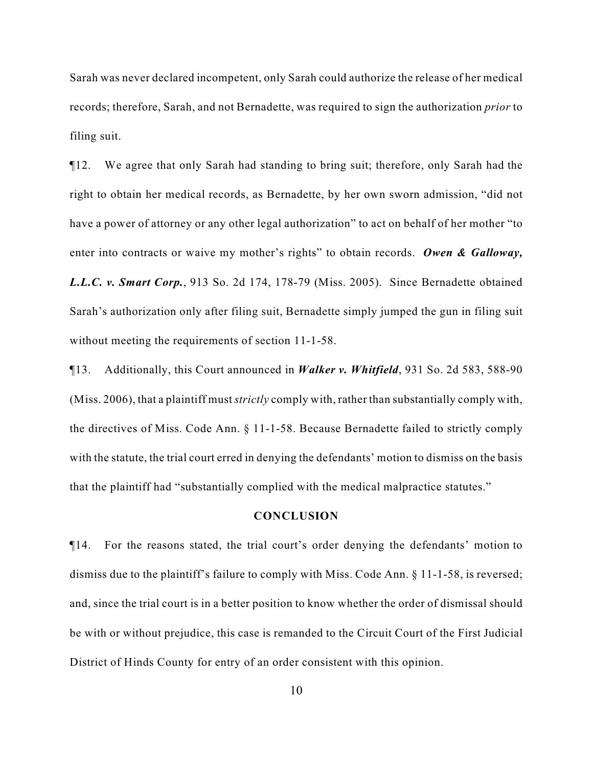Sarah was never declared incompetent, only Sarah could authorize the release of her medical records; therefore, Sarah, and not Bernadette, was required to sign the authorization *prior* to filing suit.

¶12. We agree that only Sarah had standing to bring suit; therefore, only Sarah had the right to obtain her medical records, as Bernadette, by her own sworn admission, "did not have a power of attorney or any other legal authorization" to act on behalf of her mother "to enter into contracts or waive my mother's rights" to obtain records. *Owen & Galloway, L.L.C. v. Smart Corp.*, 913 So. 2d 174, 178-79 (Miss. 2005). Since Bernadette obtained Sarah's authorization only after filing suit, Bernadette simply jumped the gun in filing suit without meeting the requirements of section 11-1-58.

¶13. Additionally, this Court announced in *Walker v. Whitfield*, 931 So. 2d 583, 588-90 (Miss. 2006), that a plaintiff must *strictly* comply with, rather than substantially comply with, the directives of Miss. Code Ann. § 11-1-58. Because Bernadette failed to strictly comply with the statute, the trial court erred in denying the defendants' motion to dismiss on the basis that the plaintiff had "substantially complied with the medical malpractice statutes."

#### **CONCLUSION**

¶14. For the reasons stated, the trial court's order denying the defendants' motion to dismiss due to the plaintiff's failure to comply with Miss. Code Ann. § 11-1-58, is reversed; and, since the trial court is in a better position to know whether the order of dismissal should be with or without prejudice, this case is remanded to the Circuit Court of the First Judicial District of Hinds County for entry of an order consistent with this opinion.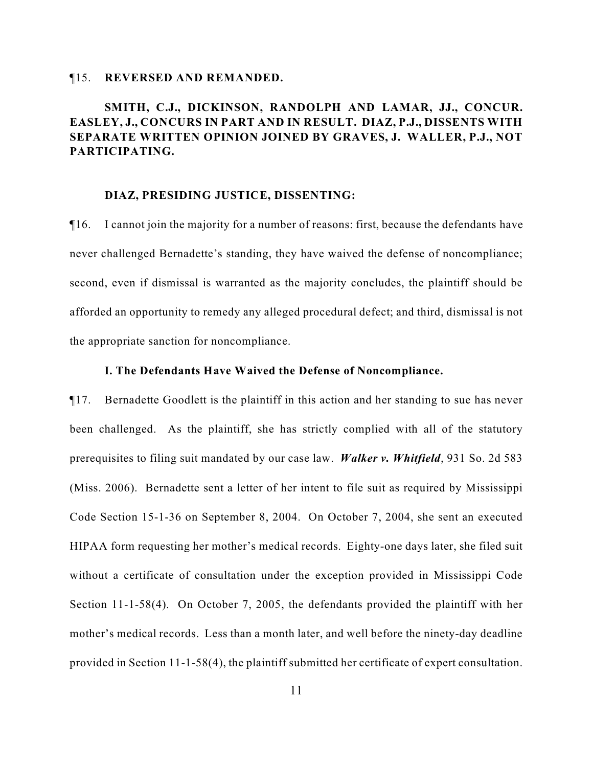#### ¶15. **REVERSED AND REMANDED.**

# **SMITH, C.J., DICKINSON, RANDOLPH AND LAMAR, JJ., CONCUR. EASLEY, J., CONCURS IN PART AND IN RESULT. DIAZ, P.J., DISSENTS WITH SEPARATE WRITTEN OPINION JOINED BY GRAVES, J. WALLER, P.J., NOT PARTICIPATING.**

#### **DIAZ, PRESIDING JUSTICE, DISSENTING:**

¶16. I cannot join the majority for a number of reasons: first, because the defendants have never challenged Bernadette's standing, they have waived the defense of noncompliance; second, even if dismissal is warranted as the majority concludes, the plaintiff should be afforded an opportunity to remedy any alleged procedural defect; and third, dismissal is not the appropriate sanction for noncompliance.

#### **I. The Defendants Have Waived the Defense of Noncompliance.**

¶17. Bernadette Goodlett is the plaintiff in this action and her standing to sue has never been challenged. As the plaintiff, she has strictly complied with all of the statutory prerequisites to filing suit mandated by our case law. *Walker v. Whitfield*, 931 So. 2d 583 (Miss. 2006). Bernadette sent a letter of her intent to file suit as required by Mississippi Code Section 15-1-36 on September 8, 2004. On October 7, 2004, she sent an executed HIPAA form requesting her mother's medical records. Eighty-one days later, she filed suit without a certificate of consultation under the exception provided in Mississippi Code Section 11-1-58(4). On October 7, 2005, the defendants provided the plaintiff with her mother's medical records. Less than a month later, and well before the ninety-day deadline provided in Section 11-1-58(4), the plaintiff submitted her certificate of expert consultation.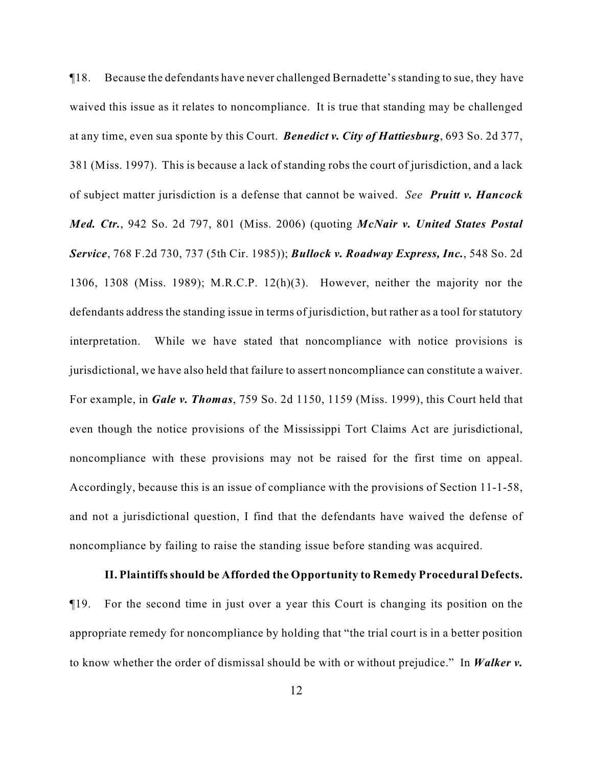¶18. Because the defendants have never challenged Bernadette's standing to sue, they have waived this issue as it relates to noncompliance. It is true that standing may be challenged at any time, even sua sponte by this Court. *Benedict v. City of Hattiesburg*, 693 So. 2d 377, 381 (Miss. 1997). This is because a lack of standing robs the court of jurisdiction, and a lack of subject matter jurisdiction is a defense that cannot be waived. *See Pruitt v. Hancock Med. Ctr.*, 942 So. 2d 797, 801 (Miss. 2006) (quoting *McNair v. United States Postal Service*, 768 F.2d 730, 737 (5th Cir. 1985)); *Bullock v. Roadway Express, Inc.*, 548 So. 2d 1306, 1308 (Miss. 1989); M.R.C.P. 12(h)(3). However, neither the majority nor the defendants address the standing issue in terms of jurisdiction, but rather as a tool for statutory interpretation. While we have stated that noncompliance with notice provisions is jurisdictional, we have also held that failure to assert noncompliance can constitute a waiver. For example, in *Gale v. Thomas*, 759 So. 2d 1150, 1159 (Miss. 1999), this Court held that even though the notice provisions of the Mississippi Tort Claims Act are jurisdictional, noncompliance with these provisions may not be raised for the first time on appeal. Accordingly, because this is an issue of compliance with the provisions of Section 11-1-58, and not a jurisdictional question, I find that the defendants have waived the defense of noncompliance by failing to raise the standing issue before standing was acquired.

### **II. Plaintiffs should be Afforded the Opportunity to Remedy Procedural Defects.**

¶19. For the second time in just over a year this Court is changing its position on the appropriate remedy for noncompliance by holding that "the trial court is in a better position to know whether the order of dismissal should be with or without prejudice." In *Walker v.*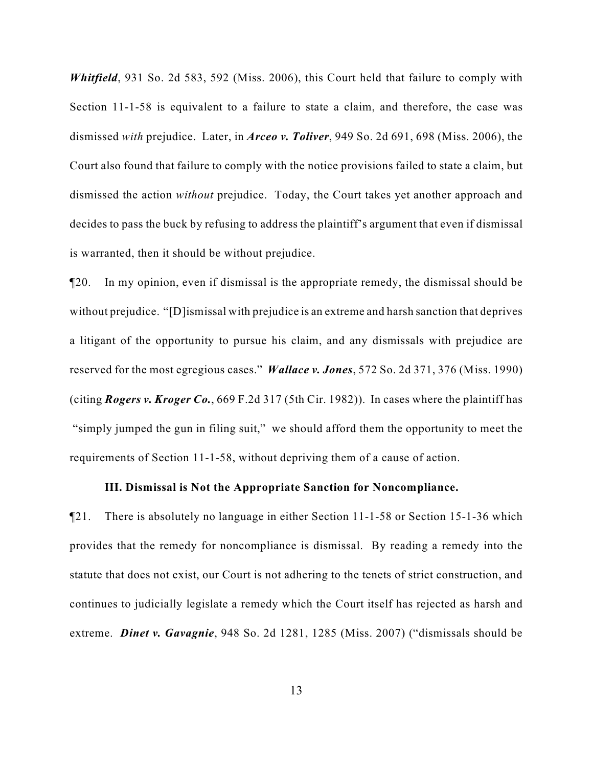*Whitfield*, 931 So. 2d 583, 592 (Miss. 2006), this Court held that failure to comply with Section 11-1-58 is equivalent to a failure to state a claim, and therefore, the case was dismissed *with* prejudice. Later, in *Arceo v. Toliver*, 949 So. 2d 691, 698 (Miss. 2006), the Court also found that failure to comply with the notice provisions failed to state a claim, but dismissed the action *without* prejudice. Today, the Court takes yet another approach and decides to pass the buck by refusing to address the plaintiff's argument that even if dismissal is warranted, then it should be without prejudice.

¶20. In my opinion, even if dismissal is the appropriate remedy, the dismissal should be without prejudice. "[D]ismissal with prejudice is an extreme and harsh sanction that deprives a litigant of the opportunity to pursue his claim, and any dismissals with prejudice are reserved for the most egregious cases." *Wallace v. Jones*, 572 So. 2d 371, 376 (Miss. 1990) (citing *Rogers v. Kroger Co.*, 669 F.2d 317 (5th Cir. 1982)). In cases where the plaintiff has "simply jumped the gun in filing suit," we should afford them the opportunity to meet the requirements of Section 11-1-58, without depriving them of a cause of action.

## **III. Dismissal is Not the Appropriate Sanction for Noncompliance.**

¶21. There is absolutely no language in either Section 11-1-58 or Section 15-1-36 which provides that the remedy for noncompliance is dismissal. By reading a remedy into the statute that does not exist, our Court is not adhering to the tenets of strict construction, and continues to judicially legislate a remedy which the Court itself has rejected as harsh and extreme. *Dinet v. Gavagnie*, 948 So. 2d 1281, 1285 (Miss. 2007) ("dismissals should be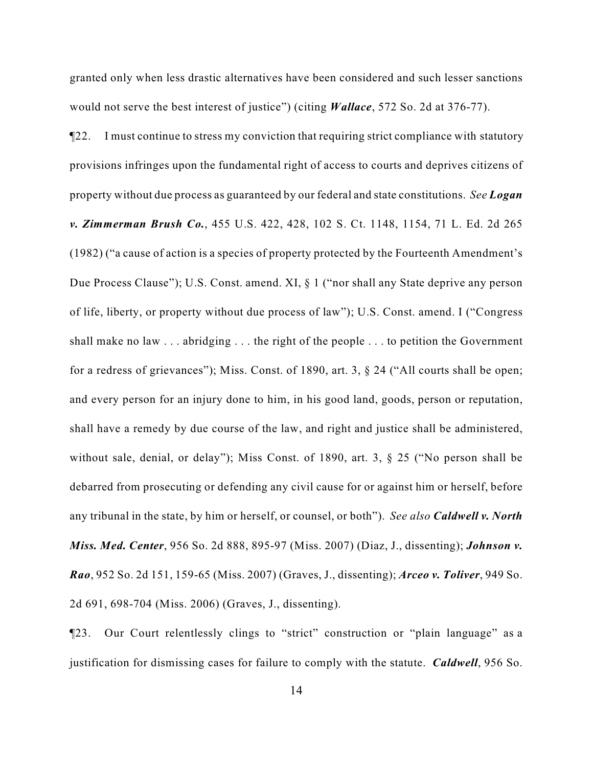granted only when less drastic alternatives have been considered and such lesser sanctions would not serve the best interest of justice") (citing *Wallace*, 572 So. 2d at 376-77).

¶22. I must continue to stress my conviction that requiring strict compliance with statutory provisions infringes upon the fundamental right of access to courts and deprives citizens of property without due process as guaranteed by our federal and state constitutions. *See Logan v. Zimmerman Brush Co.*, 455 U.S. 422, 428, 102 S. Ct. 1148, 1154, 71 L. Ed. 2d 265 (1982) ("a cause of action is a species of property protected by the Fourteenth Amendment's Due Process Clause"); U.S. Const. amend. XI, § 1 ("nor shall any State deprive any person of life, liberty, or property without due process of law"); U.S. Const. amend. I ("Congress shall make no law . . . abridging . . . the right of the people . . . to petition the Government for a redress of grievances"); Miss. Const. of 1890, art. 3, § 24 ("All courts shall be open; and every person for an injury done to him, in his good land, goods, person or reputation, shall have a remedy by due course of the law, and right and justice shall be administered, without sale, denial, or delay"); Miss Const. of 1890, art. 3,  $\S$  25 ("No person shall be debarred from prosecuting or defending any civil cause for or against him or herself, before any tribunal in the state, by him or herself, or counsel, or both"). *See also Caldwell v. North Miss. Med. Center*, 956 So. 2d 888, 895-97 (Miss. 2007) (Diaz, J., dissenting); *Johnson v. Rao*, 952 So. 2d 151, 159-65 (Miss. 2007) (Graves, J., dissenting); *Arceo v. Toliver*, 949 So. 2d 691, 698-704 (Miss. 2006) (Graves, J., dissenting).

¶23. Our Court relentlessly clings to "strict" construction or "plain language" as a justification for dismissing cases for failure to comply with the statute. *Caldwell*, 956 So.